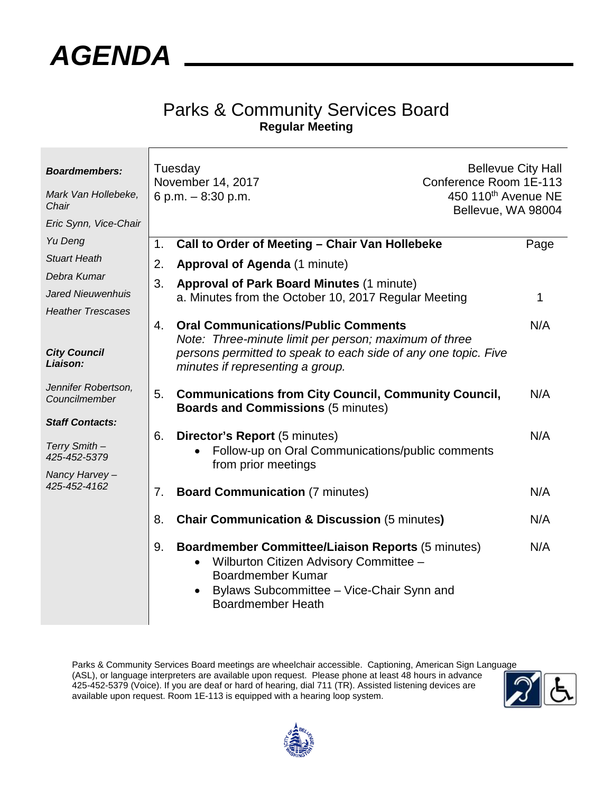

## Parks & Community Services Board **Regular Meeting**

| <b>Boardmembers:</b><br>Mark Van Hollebeke,<br>Chair<br>Eric Synn, Vice-Chair | Tuesday<br>November 14, 2017<br>6 p.m. $-8:30$ p.m. |                                                                                                                                                                                                         | <b>Bellevue City Hall</b><br>Conference Room 1E-113<br>450 110 <sup>th</sup> Avenue NE<br>Bellevue, WA 98004 |  |
|-------------------------------------------------------------------------------|-----------------------------------------------------|---------------------------------------------------------------------------------------------------------------------------------------------------------------------------------------------------------|--------------------------------------------------------------------------------------------------------------|--|
| Yu Deng                                                                       | 1.                                                  | Call to Order of Meeting - Chair Van Hollebeke                                                                                                                                                          | Page                                                                                                         |  |
| <b>Stuart Heath</b>                                                           | 2.                                                  | <b>Approval of Agenda (1 minute)</b>                                                                                                                                                                    |                                                                                                              |  |
| Debra Kumar                                                                   | 3.                                                  | <b>Approval of Park Board Minutes (1 minute)</b>                                                                                                                                                        |                                                                                                              |  |
| <b>Jared Nieuwenhuis</b>                                                      |                                                     | a. Minutes from the October 10, 2017 Regular Meeting                                                                                                                                                    | 1                                                                                                            |  |
| <b>Heather Trescases</b>                                                      |                                                     |                                                                                                                                                                                                         |                                                                                                              |  |
|                                                                               | 4.                                                  | <b>Oral Communications/Public Comments</b><br>Note: Three-minute limit per person; maximum of three                                                                                                     | N/A                                                                                                          |  |
| <b>City Council</b><br>Liaison:                                               |                                                     | persons permitted to speak to each side of any one topic. Five<br>minutes if representing a group.                                                                                                      |                                                                                                              |  |
| Jennifer Robertson,<br>Councilmember                                          | 5.                                                  | <b>Communications from City Council, Community Council,</b><br><b>Boards and Commissions (5 minutes)</b>                                                                                                | N/A                                                                                                          |  |
| <b>Staff Contacts:</b>                                                        |                                                     |                                                                                                                                                                                                         |                                                                                                              |  |
| Terry Smith -<br>425-452-5379<br>Nancy Harvey-                                | 6.                                                  | <b>Director's Report (5 minutes)</b><br>Follow-up on Oral Communications/public comments<br>from prior meetings                                                                                         | N/A                                                                                                          |  |
| 425-452-4162                                                                  | 7.                                                  | <b>Board Communication (7 minutes)</b>                                                                                                                                                                  | N/A                                                                                                          |  |
|                                                                               | 8.                                                  | <b>Chair Communication &amp; Discussion (5 minutes)</b>                                                                                                                                                 | N/A                                                                                                          |  |
|                                                                               | 9.                                                  | <b>Boardmember Committee/Liaison Reports (5 minutes)</b><br>Wilburton Citizen Advisory Committee -<br><b>Boardmember Kumar</b><br>Bylaws Subcommittee - Vice-Chair Synn and<br><b>Boardmember Heath</b> | N/A                                                                                                          |  |

Parks & Community Services Board meetings are wheelchair accessible. Captioning, American Sign Language (ASL), or language interpreters are available upon request. Please phone at least 48 hours in advance 425-452-5379 (Voice). If you are deaf or hard of hearing, dial 711 (TR). Assisted listening devices are available upon request. Room 1E-113 is equipped with a hearing loop system.